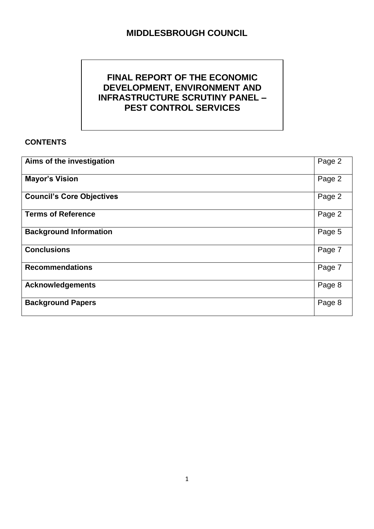# **MIDDLESBROUGH COUNCIL**

## **FINAL REPORT OF THE ECONOMIC DEVELOPMENT, ENVIRONMENT AND INFRASTRUCTURE SCRUTINY PANEL – PEST CONTROL SERVICES**

### **CONTENTS**

| Aims of the investigation        | Page 2 |
|----------------------------------|--------|
| <b>Mayor's Vision</b>            | Page 2 |
| <b>Council's Core Objectives</b> | Page 2 |
| <b>Terms of Reference</b>        | Page 2 |
| <b>Background Information</b>    | Page 5 |
| <b>Conclusions</b>               | Page 7 |
| <b>Recommendations</b>           | Page 7 |
| <b>Acknowledgements</b>          | Page 8 |
| <b>Background Papers</b>         | Page 8 |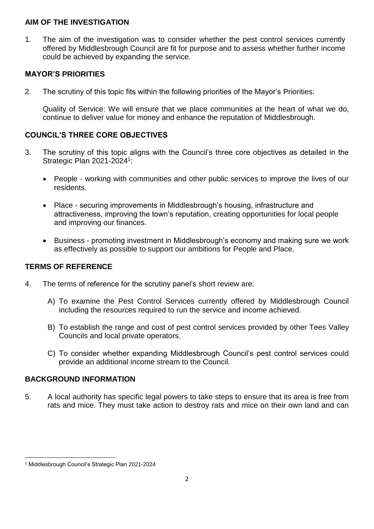#### **AIM OF THE INVESTIGATION**

1. The aim of the investigation was to consider whether the pest control services currently offered by Middlesbrough Council are fit for purpose and to assess whether further income could be achieved by expanding the service.

## **MAYOR'S PRIORITIES**

2. The scrutiny of this topic fits within the following priorities of the Mayor's Priorities:

Quality of Service: We will ensure that we place communities at the heart of what we do, continue to deliver value for money and enhance the reputation of Middlesbrough.

## **COUNCIL'S THREE CORE OBJECTIVES**

- 3. The scrutiny of this topic aligns with the Council's three core objectives as detailed in the Strategic Plan 2021-2024<sup>1</sup>:
	- People working with communities and other public services to improve the lives of our residents.
	- Place securing improvements in Middlesbrough's housing, infrastructure and attractiveness, improving the town's reputation, creating opportunities for local people and improving our finances.
	- Business promoting investment in Middlesbrough's economy and making sure we work as effectively as possible to support our ambitions for People and Place.

## **TERMS OF REFERENCE**

- 4. The terms of reference for the scrutiny panel's short review are:
	- A) To examine the Pest Control Services currently offered by Middlesbrough Council including the resources required to run the service and income achieved.
	- B) To establish the range and cost of pest control services provided by other Tees Valley Councils and local private operators.
	- C) To consider whether expanding Middlesbrough Council's pest control services could provide an additional income stream to the Council.

## **BACKGROUND INFORMATION**

5. A local authority has specific legal powers to take steps to ensure that its area is free from rats and mice. They must take action to destroy rats and mice on their own land and can

**.** 

<sup>1</sup> Middlesbrough Council's Strategic Plan 2021-2024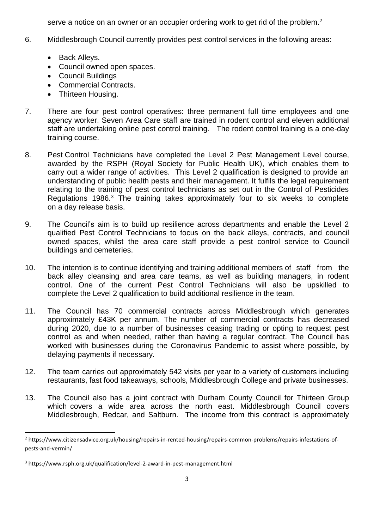serve a notice on an owner or an occupier ordering work to get rid of the problem.<sup>2</sup>

- 6. Middlesbrough Council currently provides pest control services in the following areas:
	- Back Alleys.
	- Council owned open spaces.
	- Council Buildings
	- Commercial Contracts.
	- Thirteen Housing.
- 7. There are four pest control operatives: three permanent full time employees and one agency worker. Seven Area Care staff are trained in rodent control and eleven additional staff are undertaking online pest control training. The rodent control training is a one-day training course.
- 8. Pest Control Technicians have completed the Level 2 Pest Management Level course, awarded by the RSPH (Royal Society for Public Health UK), which enables them to carry out a wider range of activities. This Level 2 qualification is designed to provide an understanding of public health pests and their management. It fulfils the legal requirement relating to the training of pest control technicians as set out in the Control of Pesticides Regulations 1986.<sup>3</sup> The training takes approximately four to six weeks to complete on a day release basis.
- 9. The Council's aim is to build up resilience across departments and enable the Level 2 qualified Pest Control Technicians to focus on the back alleys, contracts, and council owned spaces, whilst the area care staff provide a pest control service to Council buildings and cemeteries.
- 10. The intention is to continue identifying and training additional members of staff from the back alley cleansing and area care teams, as well as building managers, in rodent control. One of the current Pest Control Technicians will also be upskilled to complete the Level 2 qualification to build additional resilience in the team.
- 11. The Council has 70 commercial contracts across Middlesbrough which generates approximately £43K per annum. The number of commercial contracts has decreased during 2020, due to a number of businesses ceasing trading or opting to request pest control as and when needed, rather than having a regular contract. The Council has worked with businesses during the Coronavirus Pandemic to assist where possible, by delaying payments if necessary.
- 12. The team carries out approximately 542 visits per year to a variety of customers including restaurants, fast food takeaways, schools, Middlesbrough College and private businesses.
- 13. The Council also has a joint contract with Durham County Council for Thirteen Group which covers a wide area across the north east. Middlesbrough Council covers Middlesbrough, Redcar, and Saltburn. The income from this contract is approximately

**.** 

<sup>&</sup>lt;sup>2</sup> https://www.citizensadvice.org.uk/housing/repairs-in-rented-housing/repairs-common-problems/repairs-infestations-ofpests-and-vermin/

<sup>3</sup> https://www.rsph.org.uk/qualification/level-2-award-in-pest-management.html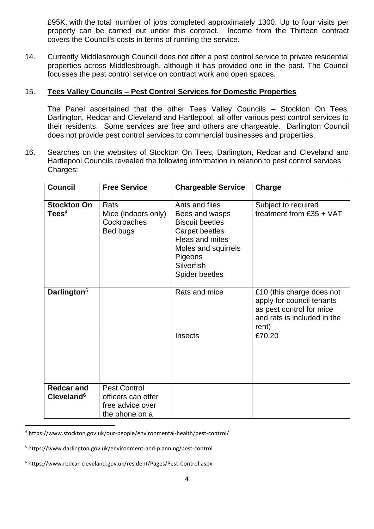£95K, with the total number of jobs completed approximately 1300. Up to four visits per property can be carried out under this contract. Income from the Thirteen contract covers the Council's costs in terms of running the service.

14. Currently Middlesbrough Council does not offer a pest control service to private residential properties across Middlesbrough, although it has provided one in the past. The Council focusses the pest control service on contract work and open spaces.

#### 15. **Tees Valley Councils – Pest Control Services for Domestic Properties**

The Panel ascertained that the other Tees Valley Councils – Stockton On Tees, Darlington, Redcar and Cleveland and Hartlepool, all offer various pest control services to their residents. Some services are free and others are chargeable. Darlington Council does not provide pest control services to commercial businesses and properties.

16. Searches on the websites of Stockton On Tees, Darlington, Redcar and Cleveland and Hartlepool Councils revealed the following information in relation to pest control services Charges:

| <b>Council</b>                              | <b>Free Service</b>                                                             | <b>Chargeable Service</b>                                                                                                                                                | Charge                                                                                                                     |
|---------------------------------------------|---------------------------------------------------------------------------------|--------------------------------------------------------------------------------------------------------------------------------------------------------------------------|----------------------------------------------------------------------------------------------------------------------------|
| <b>Stockton On</b><br>$\text{Tees}^4$       | Rats<br>Mice (indoors only)<br>Cockroaches<br>Bed bugs                          | Ants and flies<br>Bees and wasps<br><b>Biscuit beetles</b><br>Carpet beetles<br>Fleas and mites<br>Moles and squirrels<br>Pigeons<br>Silverfish<br><b>Spider beetles</b> | Subject to required<br>treatment from £35 + VAT                                                                            |
| Darlington <sup>5</sup>                     |                                                                                 | Rats and mice                                                                                                                                                            | £10 (this charge does not<br>apply for council tenants<br>as pest control for mice<br>and rats is included in the<br>rent) |
|                                             |                                                                                 | <b>Insects</b>                                                                                                                                                           | £70.20                                                                                                                     |
| <b>Redcar and</b><br>Cleveland <sup>6</sup> | <b>Pest Control</b><br>officers can offer<br>free advice over<br>the phone on a |                                                                                                                                                                          |                                                                                                                            |

<sup>4</sup> https://www.stockton.gov.uk/our-people/environmental-health/pest-control/

**.** 

<sup>5</sup> https://www.darlington.gov.uk/environment-and-planning/pest-control

<sup>6</sup> https://www.redcar-cleveland.gov.uk/resident/Pages/Pest-Control.aspx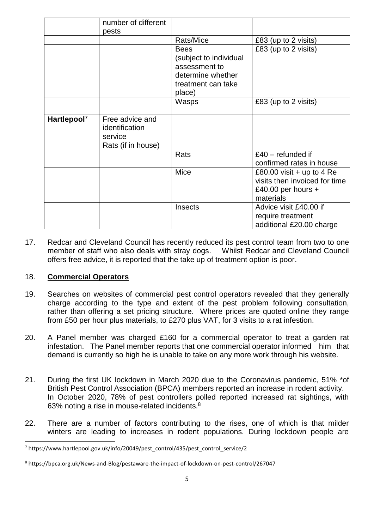|                         | number of different<br>pests                 |                                                                                                             |                                                                                                   |
|-------------------------|----------------------------------------------|-------------------------------------------------------------------------------------------------------------|---------------------------------------------------------------------------------------------------|
|                         |                                              | Rats/Mice                                                                                                   | £83 (up to 2 visits)                                                                              |
|                         |                                              | <b>Bees</b><br>(subject to individual<br>assessment to<br>determine whether<br>treatment can take<br>place) | £83 (up to 2 visits)                                                                              |
|                         |                                              | Wasps                                                                                                       | £83 (up to 2 visits)                                                                              |
| Hartlepool <sup>7</sup> | Free advice and<br>identification<br>service |                                                                                                             |                                                                                                   |
|                         | Rats (if in house)                           |                                                                                                             |                                                                                                   |
|                         |                                              | Rats                                                                                                        | $£40$ – refunded if<br>confirmed rates in house                                                   |
|                         |                                              | Mice                                                                                                        | £80.00 visit $+$ up to 4 Re<br>visits then invoiced for time<br>£40.00 per hours $+$<br>materials |
|                         |                                              | <b>Insects</b>                                                                                              | Advice visit £40.00 if<br>require treatment<br>additional £20.00 charge                           |

17. Redcar and Cleveland Council has recently reduced its pest control team from two to one member of staff who also deals with stray dogs. Whilst Redcar and Cleveland Council offers free advice, it is reported that the take up of treatment option is poor.

#### 18. **Commercial Operators**

1

- 19. Searches on websites of commercial pest control operators revealed that they generally charge according to the type and extent of the pest problem following consultation, rather than offering a set pricing structure. Where prices are quoted online they range from £50 per hour plus materials, to £270 plus VAT, for 3 visits to a rat infestion.
- 20. A Panel member was charged £160 for a commercial operator to treat a garden rat infestation. The Panel member reports that one commercial operator informed him that demand is currently so high he is unable to take on any more work through his website.
- 21. During the first UK lockdown in March 2020 due to the Coronavirus pandemic, 51% \*of British Pest Control Association (BPCA) members reported an increase in rodent activity. In October 2020, 78% of pest controllers polled reported increased rat sightings, with 63% noting a rise in mouse-related incidents.<sup>8</sup>
- 22. There are a number of factors contributing to the rises, one of which is that milder winters are leading to increases in rodent populations. During lockdown people are

<sup>7</sup> https://www.hartlepool.gov.uk/info/20049/pest\_control/435/pest\_control\_service/2

<sup>8</sup> https://bpca.org.uk/News-and-Blog/pestaware-the-impact-of-lockdown-on-pest-control/267047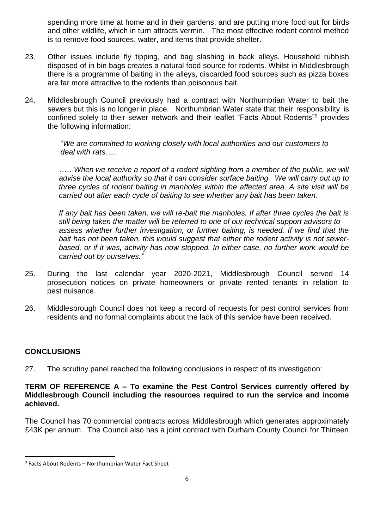spending more time at home and in their gardens, and are putting more food out for birds and other wildlife, which in turn attracts vermin. The most effective rodent control method is to remove food sources, water, and items that provide shelter.

- 23. Other issues include fly tipping, and bag slashing in back alleys. Household rubbish disposed of in bin bags creates a natural food source for rodents. Whilst in Middlesbrough there is a programme of baiting in the alleys, discarded food sources such as pizza boxes are far more attractive to the rodents than poisonous bait.
- 24. Middlesbrough Council previously had a contract with Northumbrian Water to bait the sewers but this is no longer in place. Northumbrian Water state that their responsibility is confined solely to their sewer network and their leaflet "Facts About Rodents"<sup>9</sup> provides the following information:

"*We are committed to working closely with local authorities and our customers to deal with rats…..*

*……When we receive a report of a rodent sighting from a member of the public, we will advise the local authority so that it can consider surface baiting. We will carry out up to three cycles of rodent baiting in manholes within the affected area. A site visit will be carried out after each cycle of baiting to see whether any bait has been taken.*

*If any bait has been taken, we will re-bait the manholes. If after three cycles the bait is still being taken the matter will be referred to one of our technical support advisors to assess whether further investigation, or further baiting, is needed. If we find that the bait has not been taken, this would suggest that either the rodent activity is not sewerbased, or if it was, activity has now stopped. In either case, no further work would be carried out by ourselves."*

- 25. During the last calendar year 2020-2021, Middlesbrough Council served 14 prosecution notices on private homeowners or private rented tenants in relation to pest nuisance.
- 26. Middlesbrough Council does not keep a record of requests for pest control services from residents and no formal complaints about the lack of this service have been received.

## **CONCLUSIONS**

1

27. The scrutiny panel reached the following conclusions in respect of its investigation:

#### **TERM OF REFERENCE A – To examine the Pest Control Services currently offered by Middlesbrough Council including the resources required to run the service and income achieved.**

The Council has 70 commercial contracts across Middlesbrough which generates approximately £43K per annum. The Council also has a joint contract with Durham County Council for Thirteen

<sup>9</sup> Facts About Rodents – Northumbrian Water Fact Sheet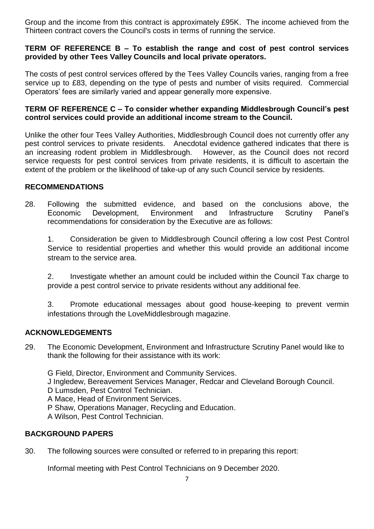Group and the income from this contract is approximately £95K. The income achieved from the Thirteen contract covers the Council's costs in terms of running the service.

#### **TERM OF REFERENCE B – To establish the range and cost of pest control services provided by other Tees Valley Councils and local private operators.**

The costs of pest control services offered by the Tees Valley Councils varies, ranging from a free service up to £83, depending on the type of pests and number of visits required. Commercial Operators' fees are similarly varied and appear generally more expensive.

#### **TERM OF REFERENCE C – To consider whether expanding Middlesbrough Council's pest control services could provide an additional income stream to the Council.**

Unlike the other four Tees Valley Authorities, Middlesbrough Council does not currently offer any pest control services to private residents. Anecdotal evidence gathered indicates that there is an increasing rodent problem in Middlesbrough. However, as the Council does not record service requests for pest control services from private residents, it is difficult to ascertain the extent of the problem or the likelihood of take-up of any such Council service by residents.

### **RECOMMENDATIONS**

28. Following the submitted evidence, and based on the conclusions above, the Economic Development, Environment and Infrastructure Scrutiny Panel's recommendations for consideration by the Executive are as follows:

1. Consideration be given to Middlesbrough Council offering a low cost Pest Control Service to residential properties and whether this would provide an additional income stream to the service area.

2. Investigate whether an amount could be included within the Council Tax charge to provide a pest control service to private residents without any additional fee.

3. Promote educational messages about good house-keeping to prevent vermin infestations through the LoveMiddlesbrough magazine.

#### **ACKNOWLEDGEMENTS**

29. The Economic Development, Environment and Infrastructure Scrutiny Panel would like to thank the following for their assistance with its work:

G Field, Director, Environment and Community Services.

J Ingledew, Bereavement Services Manager, Redcar and Cleveland Borough Council.

D Lumsden, Pest Control Technician.

A Mace, Head of Environment Services.

P Shaw, Operations Manager, Recycling and Education.

A Wilson, Pest Control Technician.

## **BACKGROUND PAPERS**

30. The following sources were consulted or referred to in preparing this report:

Informal meeting with Pest Control Technicians on 9 December 2020.